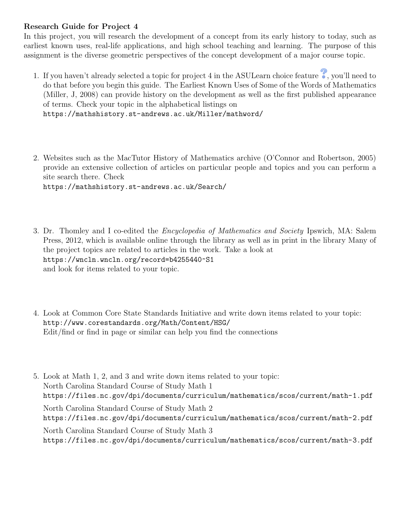## Research Guide for Project 4

In this project, you will research the development of a concept from its early history to today, such as earliest known uses, real-life applications, and high school teaching and learning. The purpose of this assignment is the diverse geometric perspectives of the concept development of a major course topic.

- 1. If you haven't already selected a topic for project 4 in the ASULearn choice feature  $\bullet$ , you'll need to do that before you begin this guide. The Earliest Known Uses of Some of the Words of Mathematics (Miller, J, 2008) can provide history on the development as well as the first published appearance of terms. Check your topic in the alphabetical listings on https://mathshistory.st-andrews.ac.uk/Miller/mathword/
- 2. Websites such as the MacTutor History of Mathematics archive (O'Connor and Robertson, 2005) provide an extensive collection of articles on particular people and topics and you can perform a site search there. Check https://mathshistory.st-andrews.ac.uk/Search/
- 3. Dr. Thomley and I co-edited the Encyclopedia of Mathematics and Society Ipswich, MA: Salem Press, 2012, which is available online through the library as well as in print in the library Many of the project topics are related to articles in the work. Take a look at https://wncln.wncln.org/record=b4255440~S1 and look for items related to your topic.
- 4. Look at Common Core State Standards Initiative and write down items related to your topic: http://www.corestandards.org/Math/Content/HSG/ Edit/find or find in page or similar can help you find the connections
- 5. Look at Math 1, 2, and 3 and write down items related to your topic: North Carolina Standard Course of Study Math 1 https://files.nc.gov/dpi/documents/curriculum/mathematics/scos/current/math-1.pdf North Carolina Standard Course of Study Math 2 https://files.nc.gov/dpi/documents/curriculum/mathematics/scos/current/math-2.pdf North Carolina Standard Course of Study Math 3 https://files.nc.gov/dpi/documents/curriculum/mathematics/scos/current/math-3.pdf